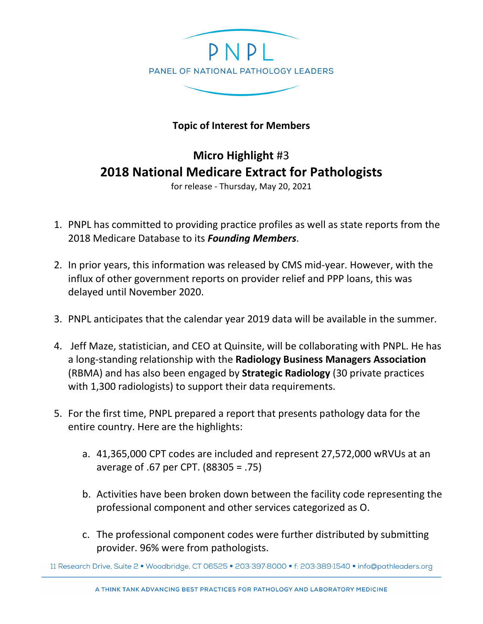

## **Topic of Interest for Members**

## **Micro Highlight** #3 **2018 National Medicare Extract for Pathologists**

for release - Thursday, May 20, 2021

- 1. PNPL has committed to providing practice profiles as well as state reports from the 2018 Medicare Database to its *Founding Members*.
- 2. In prior years, this information was released by CMS mid-year. However, with the influx of other government reports on provider relief and PPP loans, this was delayed until November 2020.
- 3. PNPL anticipates that the calendar year 2019 data will be available in the summer.
- 4. Jeff Maze, statistician, and CEO at Quinsite, will be collaborating with PNPL. He has a long-standing relationship with the **Radiology Business Managers Association**  (RBMA) and has also been engaged by **Strategic Radiology** (30 private practices with 1,300 radiologists) to support their data requirements.
- 5. For the first time, PNPL prepared a report that presents pathology data for the entire country. Here are the highlights:
	- a. 41,365,000 CPT codes are included and represent 27,572,000 wRVUs at an average of .67 per CPT. (88305 = .75)
	- b. Activities have been broken down between the facility code representing the professional component and other services categorized as O.
	- c. The professional component codes were further distributed by submitting provider. 96% were from pathologists.

11 Research Drive, Suite 2 · Woodbridge, CT 06525 · 203:397:8000 · f: 203:389:1540 · info@pathleaders.org